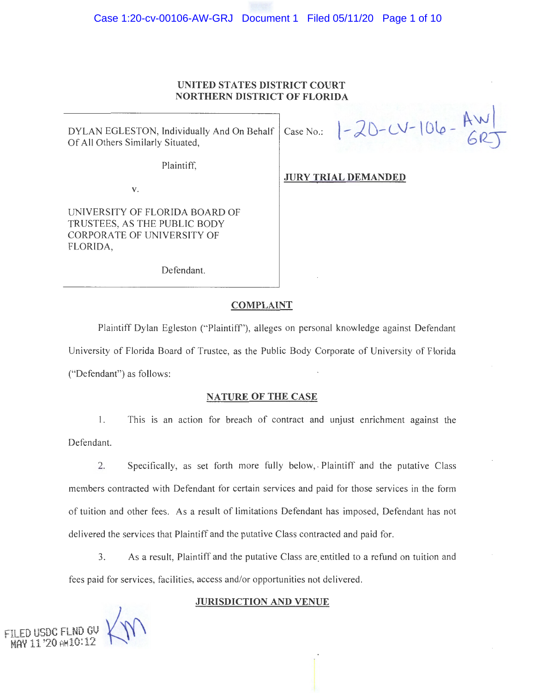# **UNITED STATES DISTRICT COURT NORTHERN DISTRICT OF FLORIDA**

DYLAN EGLESTON, Individually And On Behalf | Case No.: DYLAN EGLESTON, Individually And On Behalf Case No.:  $\left[-20-V-\frac{\text{A}W}{\text{GRT}}\right]$ 

Plaintiff,

**JURY TRIAL DEMANDED** 

**V.** 

UNIVERSITY OF FLORIDA BOARD OF TRUSTEES, AS THE PUBLIC BODY CORPORA TE OF UNIVERSITY OF FLORIDA,

Defendant.

## **COMPLAINT**

Plaintiff Dylan Egleston ("Plaintiff'), alleges on personal knowledge against Defendant University of Florida Board of Trustee, as the Public Body Corporate of University of Florida ("Defendant") as follows:

## **NATURE OF THE CASE**

**1.** This is an action for breach of contract and unjust enrichment against the Defendant.

2. Specifically, as set forth more fully below, Plaintiff and the putative Class members contracted with Defendant for certain services and paid for those services in the form of tuition and other fees. As a result of limitations Defendant has imposed, Defendant has not delivered the services that Plaintiff and the putative Class contracted and paid for.

3. As a result, Plaintiff and the putative Class are. entitled to a refund on tuition and fees paid for services, facilities, access and/or opportunities not delivered.

# **JURISDICTION AND VENUE**

. **FILED MAY 11 USDC '20 AMl0:12 FLND GV** \  $\mathcal{M}_{\mathsf{I}}$  .  $M'$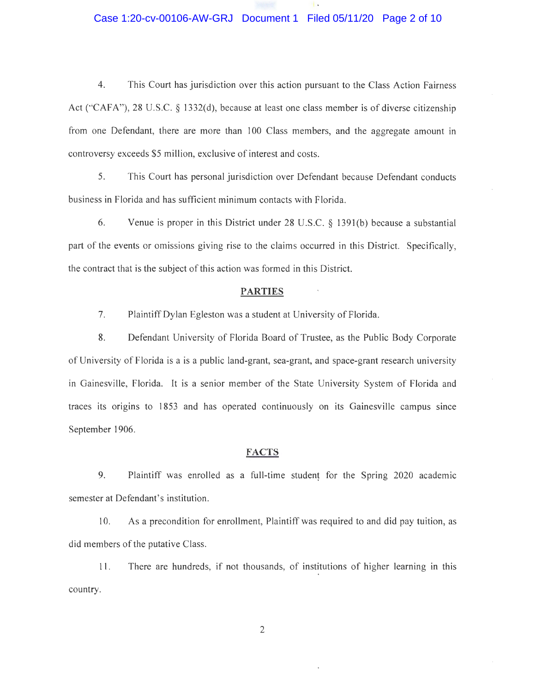# Case 1:20-cv-00106-AW-GRJ Document 1 Filed 05/11/20 Page 2 of 10

4. This Court has jurisdiction over this action pursuant to the Class Action Fairness Act ("CAFA"), 28 U.S.C. § 1332(d), because at least one class member is of diverse citizenship from one Defendant, there are more than 100 Class members, and the aggregate amount in controversy exceeds \$5 million, exclusive of interest and costs.

5. This Court has personal jurisdiction over Defendant because Defendant conducts business in Florida and has sufficient minimum contacts with Florida.

6. Venue is proper in this District under 28 U.S.C. § 1391 (b) because a substantial part of the events or omissions giving rise to the claims occurred in this District. Specifically, the contract that is the subject of this action was formed in this District.

### **PARTIES**

7. Plaintiff Dylan Egleston was a student at University of Florida.

8. Defendant University of Florida Board of Trustee, as the Public Body Corporate of University of Florida is a is a public land-grant, sea-grant, and space-grant research university in Gainesville, Florida. It is a senior member of the State University System of Florida and traces its origins to 1853 and has operated continuously on its Gainesville campus since September 1906.

### **FACTS**

9. Plaintiff was enrolled as a full-time student for the Spring 2020 academic semester at Defendant's institution.

l 0. As a precondition for enrollment, Plaintiff was required to and did pay tuition, as did members of the putative Class.

11 . There are hundreds, if not thousands, of institutions of higher learning in this country.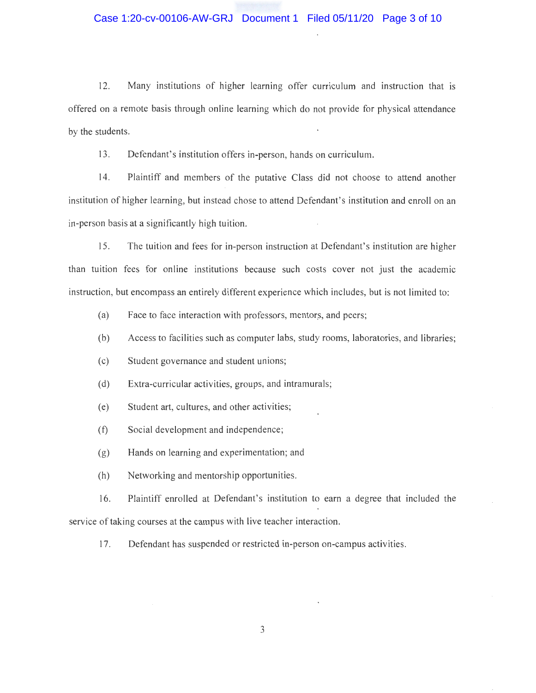## Case 1:20-cv-00106-AW-GRJ Document 1 Filed 05/11/20 Page 3 of 10

12. Many institutions of higher learning offer curriculum and instruction that is offered on a remote basis through online learning which do not provide for physical attendance by the students.

13. Defendant's institution offers in-person, hands on curriculum.

14. Plaintiff and members of the putative Class did not choose to attend another institution of higher learning, but instead chose to attend Defendant's institution and enroll on an in-person basis at a significantly high tuition.

15. The tuition and fees for in-person instruction at Defendant's institution are higher than tuition fees for online institutions because such costs cover not just the academic instruction, but encompass an entirely different experience which includes, but is not limited to:

- (a) Face to face interaction with professors, mentors, and peers;
- (b) Access to facilities such as computer labs, study rooms, laboratories, and libraries;
- ( c) Student governance and student unions;
- $(d)$  Extra-curricular activities, groups, and intramurals;
- (e) Student art, cultures, and other activities;
- (f) Social development and independence;
- (g) Hands on learning and experimentation; and
- (h) Networking and mentorship opportunities.

16. Plaintiff enrolled at Defendant's institution to earn a degree that included the service of taking courses at the campus with live teacher interaction.

17. Defendant has suspended or restricted in-person on-campus activities.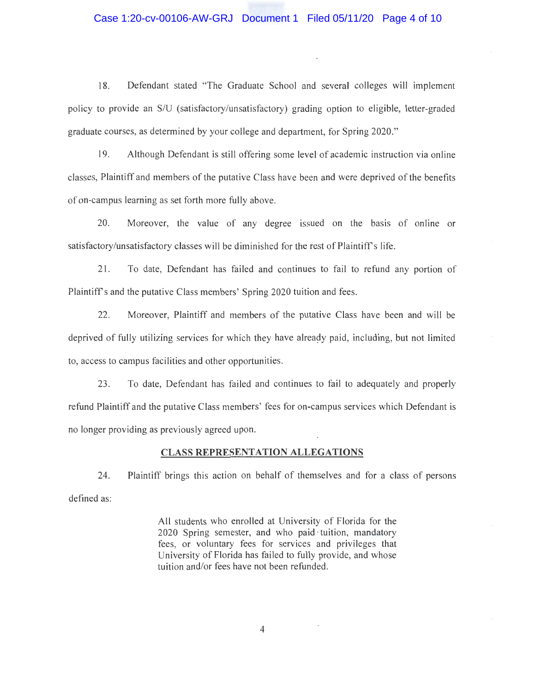### Case 1:20-cv-00106-AW-GRJ Document 1 Filed 05/11/20 Page 4 of 10

18. Defendant stated "The Graduate School and several colleges will implement policy to provide an *SIU* (satisfactory/unsatisfactory) grading option to eligible, letter-graded graduate courses, as determined by your college and department, for Spring 2020 ."

19. Although Defendant is still offering some level·of academic instruction via online classes, Plaintiff and members of the putative Class have been and were deprived of the benefits of on-campus learning as set forth more fully above.

20. Moreover, the value of any degree issued on the basis of online or satisfactory/unsatisfactory classes will be diminished for the rest of Plaintiffs life.

21. To date, Defendant has failed and continues to fail to refund any portion of Plaintiffs and the putative Class members' Spring 2020 tuition and fees.

22. Moreover, Plaintiff and members of the putative Class have been and will be deprived of fully utilizing services for which they have already paid, including, but not limited to, access to campus facilities and other opportunities.

23. To date, Defendant has failed and continues to fail to adequately and properly refund Plaintiff and the putative Class members' fees for on-campus services which Defendant is no longer providing as previously agreed upon.

### **CLASS REPRESENTATION ALLEGATIONS**

24. Plaintiff brings this action on behalf of themselves and for a class of persons defined as:

> All students who enrolled at University of Florida for the . 2020 Spring semester, and who paid · tuition, mandatory fees, or voluntary fees for services and privileges that University of Florida has failed to fully provide, and whose tuition and/or fees have not been refunded.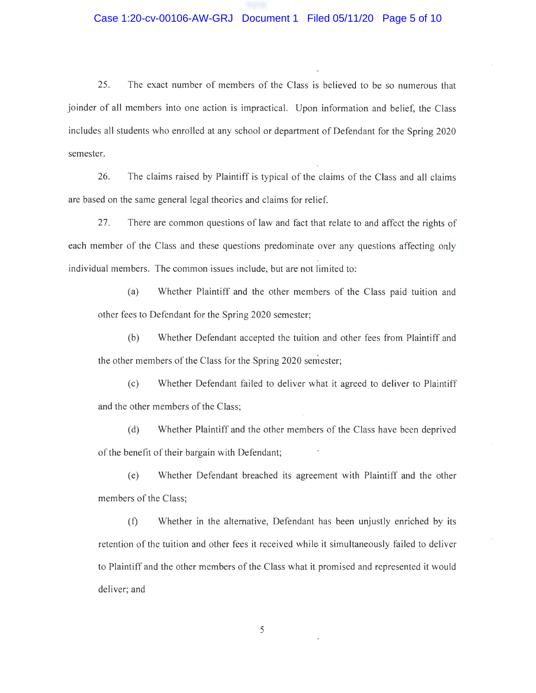25. The exact number of members of the Class is believed to be so numerous that joinder of all members into one action is impractical. Upon information and belief, the Class includes all students who enrolled at any school or department of Defendant for the Spring 2020 semester.

26. The claims raised by Plaintiff is typical of the claims of the Class and all claims are based on the same general legal theories and claims for relief.

27. There are common questions of law and fact that relate to and affect the rights of each member of the Class and these questions predominate over any questions affecting only individual members. The common issues include, but are not limited to:

(a) Whether Plaintiff and the other members of the Class paid tuition and other fees to Defendant for the Spring 2020 semester;

(b) Whether Defendant accepted the tuition and other fees from Plaintiff and the other members of the Class for the Spring 2020 semester;

(c) Whether Defendant failed to deliver what it agreed to deliver to Plaintiff and the other members of the Class;

(d) Whether Plaintiff and the other members of the Class have been deprived of the benefit of their bargain with Defendant;

(e) Whether Defendant breached its agreement with Plaintiff and the other members of the Class;

(f) Whether in the alternative, Defendant has been unjustly enriched by its retention of the tuition and other fees it received while it simultaneously failed to deliver to Plaintiff and the other members of the Class what it promised and represented it would deliver; and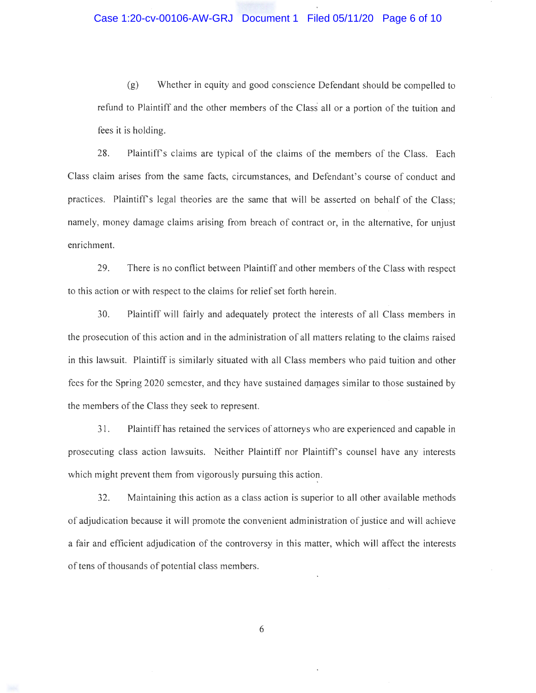## Case 1:20-cv-00106-AW-GRJ Document 1 Filed 05/11/20 Page 6 of 10

(g) Whether in equity and good conscience Defendant should be compelled to refund to Plaintiff and the other members of the Class all or a portion of the tuition and fees it is holding.

28. Plaintiffs claims are typical of the claims of the members of the Class. Each Class claim arises from the same facts, circumstances, and Defendant's course of conduct and practices. Plaintiffs legal theories are the same that will be asserted on behalf of the Class; namely, money damage claims arising from breach of contract or, in the alternative, for unjust enrichment.

29. There is no conflict between Plaintiff and other members of the Class with respect to this action or with respect to the claims for relief set forth herein.

30. Plaintiff will fairly and adequately protect the interests of all Class members in the prosecution of this action and in the administration of all matters relating to the claims raised in this lawsuit. Plaintiff is similarly situated with all Class members who paid tuition and other fees for the Spring 2020 semester, and they have sustained darpages similar to those sustained by the members of the Class they seek to represent.

31. Plaintiff has retained the services of attorneys who are experienced and capable in prosecuting class action lawsuits. Neither Plaintiff nor Plaintiff's counsel have any interests which might prevent them from vigorously pursuing this action.

32. Maintaining this action as a class action is superior to all other available methods of adjudication because it will promote the convenient administration of justice and will achieve a fair and efficient adjudication of the controversy in this matter, which will affect the interests of tens of thousands of potential class members.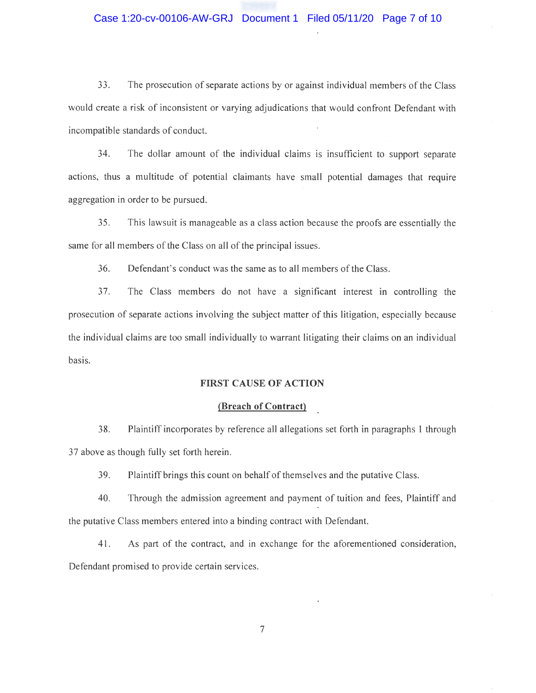### Case 1:20-cv-00106-AW-GRJ Document 1 Filed 05/11/20 Page 7 of 10

33. The prosecution of separate actions by or against individual members of the Class would create a risk of inconsistent or varying adjudications that would confront Defendant with incompatible standards of conduct.

34. The dollar amount of the individual claims is insufficient to support separate actions, thus a multitude of potential claimants have small potential damages that require aggregation in order to be pursued.

35 . This lawsuit is manageable as a class action because the proofs are essentially the same for all members of the Class on all of the principal issues.

36. Defendant's conduct was the same as to all members of the Class.

37. The Class members do not have a significant interest in controlling the prosecution of separate actions involving the subject matter of this litigation, especially because the individual claims are too small individually to warrant litigating their claims on an individual basis.

### **FIRST CAUSE OF ACTION**

### **(Breach of Contract)**

38. Plaintiff incorporates by reference all allegations set forth in paragraphs 1 through 37 above as though fully set forth herein.

39. Plaintiff brings this count on behalf of themselves and the putative Class.

40. Through the admission agreement and payment of tuition and fees, Plaintiff and the putative Class members entered into a binding contract with Defendant.

41 . As part of the contract, and in exchange for the aforementioned consideration, Defendant promised to provide certain services.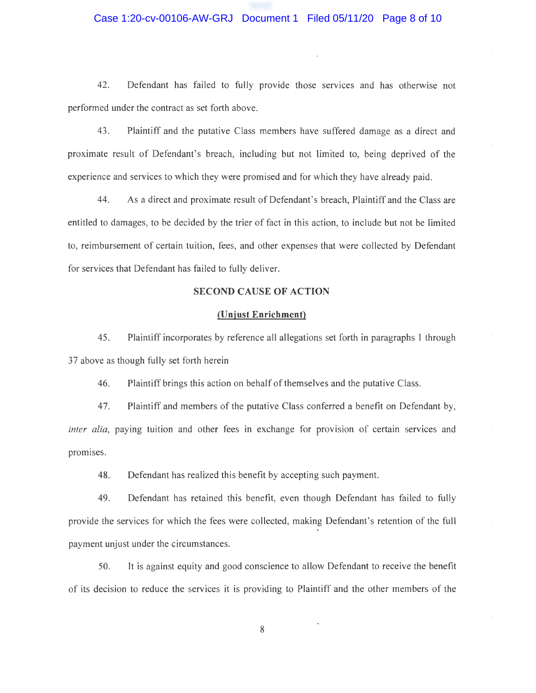# Case 1:20-cv-00106-AW-GRJ Document 1 Filed 05/11/20 Page 8 of 10

42. Defendant has failed to fully provide those services and has otherwise not performed under the contract as set forth above.

43 . Plaintiff and the putative Class members have suffered damage as a direct and proximate result of Defendant's breach, including but not limited to, being deprived of the experience and services to which they were promised and for which they have already paid.

44. As a direct and proximate result of Defendant's breach, Plaintiff and the Class are entitled to damages, to be decided by the trier of fact in this action, to include but not be limited to, reimbursement of certain tuition, fees, and other expenses that were collected by Defendant for services that Defendant has failed to fully deliver.

# **SECOND CAUSE OF ACTION**

### **(Unjust Enrichment)**

45. Plaintiff incorporates by reference all allegations set forth in paragraphs 1 through 37 above as though fully set forth herein

46. Plaintiff brings this action on behalf of themselves and the putative Class.

4 7. Plaintiff and members of the putative Class conferred a benefit on Defendant by, *inter alia, paying tuition and other fees in exchange for provision of certain services and* promises.

48. Defendant has realized this benefit by accepting such payment.

49. Defendant has retained this benefit, even though Defendant has failed to fully provide the services for which the fees were collected, making Defendant's retention of the full payment unjust under the circumstances.

50. It is against equity and good conscience to allow Defendant to receive the benefit of its decision to reduce the services it is providing to Plaintiff and the other members of the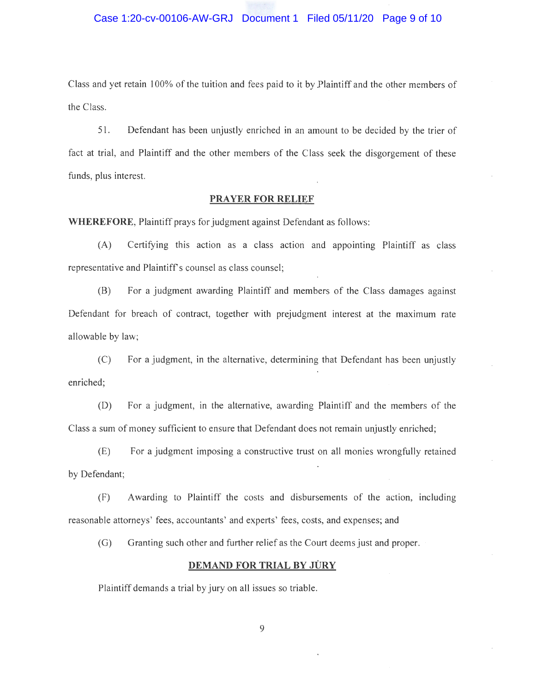Class and yet retain 100% of the tuition and fees paid to it by Plaintiff and the other members of the Class.

51. Defendant has been unjustly enriched in an amount to be decided by the trier of fact at trial, and Plaintiff and the other members of the Class seek the disgorgement of these funds, plus interest.

### **PRAYER FOR RELIEF**

**WHEREFORE,** Plaintiff prays for judgment against Defendant as follows:

(A) Certifying this action as a class actiori and appointing Plaintiff as class representative and Plaintiff's counsel as class counsel;

(B) For a judgment awarding Plaintiff and members of the Class damages against Defendant for breach of contract, together with prejudgment interest at the maximum rate allowable by law;

(C) For a judgment, in the alternative, determining that Defendant has been unjustly enriched;

(D) For a judgment, in the alternative, awarding Plaintiff and the members of the Class a sum of money sufficient to ensure that Defendant does not remain unjustly enriched;

(E) For a judgment imposing a constructive trust on all monies wrongfully retained by Defendant;

(F) Awarding to Plaintiff the costs and disbursements of the action, including reasonable attorneys' fees, accountants' and experts' fees, costs, and expenses; and

(G) Granting such other and further relief as the Court deems just and proper.

## **DEMAND FOR TRIAL BY JURY**

Plaintiff demands a trial by jury on all issues so triable.